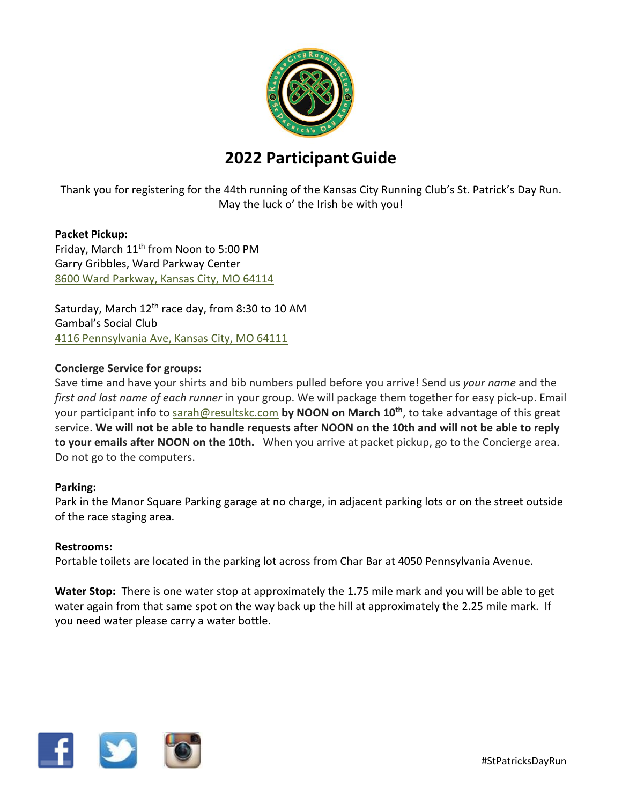

# **2022 ParticipantGuide**

Thank you for registering for the 44th running of the Kansas City Running Club's St. Patrick's Day Run. May the luck o' the Irish be with you!

# **Packet Pickup:**

Friday, March 11<sup>th</sup> from Noon to 5:00 PM Garry Gribbles, Ward Parkway Center 8600 Ward [Parkway,](https://www.google.com/maps/place/8600+Ward+Pkwy,+Kansas+City,+MO+64114/@38.9709537,-94.6088155,17z/data=!3m1!4b1!4m5!3m4!1s0x87c0e927a645ba0b:0xe2b975f437a75ee!8m2!3d38.9709537!4d-94.6066268) Kansas City, MO 64114

Saturday, March 12<sup>th</sup> race day, from 8:30 to 10 AM Gambal's Social Club 4116 [Pennsylvania](https://www.google.com/maps/place/4116+Pennsylvania+Ave,+Kansas+City,+MO+64111/@39.052105,-94.5934791,17z/data=!3m1!4b1!4m5!3m4!1s0x87c0efc51bb3f88f:0xf929bb343bec8011!8m2!3d39.052105!4d-94.591285) Ave, Kansas City, MO 64111

# **Concierge Service for groups:**

Save time and have your shirts and bib numbers pulled before you arrive! Send us *your name* and the *first and last name of each runner* in your group. We will package them together for easy pick-up. Email your participant info to [sarah@resultskc.com](mailto:sarah@resultskc.com?subject=St%20Patrick) **by NOON on March 10th** , to take advantage of this great service. We will not be able to handle requests after NOON on the 10th and will not be able to reply **to your emails after NOON on the 10th.** When you arrive at packet pickup, go to the Concierge area. Do not go to the computers.

## **Parking:**

Park in the Manor Square Parking garage at no charge, in adjacent parking lots or on the street outside of the race staging area.

## **Restrooms:**

Portable toilets are located in the parking lot across from Char Bar at 4050 Pennsylvania Avenue.

**Water Stop:** There is one water stop at approximately the 1.75 mile mark and you will be able to get water again from that same spot on the way back up the hill at approximately the 2.25 mile mark. If you need water please carry a water bottle.

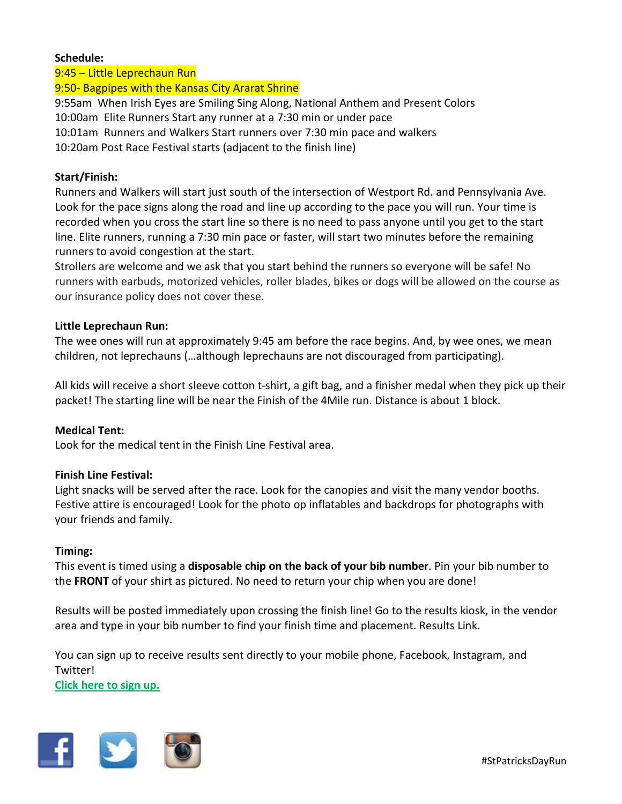#### **Schedule:**

9:45 – Little Leprechaun Run 9:50- Bagpipes with the Kansas City Ararat Shrine 9:55am When Irish Eyes are Smiling Sing Along, National Anthem and Present Colors 10:00am Elite Runners Start any runner at a 7:30 min or under pace 10:01am Runners and Walkers Start runners over 7:30 min pace and walkers 10:20am Post Race Festival starts (adjacent to the finish line)

#### **Start/Finish:**

Runners and Walkers will start just south of the intersection of Westport Rd. and Pennsylvania Ave. Look for the pace signs along the road and line up according to the pace you will run. Your time is recorded when you cross the start line so there is no need to pass anyone until you get to the start line. Elite runners, running a 7:30 min pace or faster, will start two minutes before the remaining runners to avoid congestion at the start.

Strollers are welcome and we ask that you start behind the runners so everyone will be safe! No runners with earbuds, motorized vehicles, roller blades, bikes or dogs will be allowed on the course as our insurance policy does not cover these.

#### **Little Leprechaun Run:**

The wee ones will run at approximately 9:45 am before the race begins. And, by wee ones, we mean children, not leprechauns (…although leprechauns are not discouraged from participating).

All kids will receive a short sleeve cotton t-shirt, a gift bag, and a finisher medal when they pick up their packet! The starting line will be near the Finish of the 4Mile run. Distance is about 1 block.

#### **Medical Tent:**

Look for the medical tent in the Finish Line Festival area.

#### **Finish Line Festival:**

Light snacks will be served after the race. Look for the canopies and visit the many vendor booths. Festive attire is encouraged! Look for the photo op inflatables and backdrops for photographs with your friends and family.

#### **Timing:**

This event is timed using a **disposable chip on the back of your bib number**. Pin your bib number to the **FRONT** of your shirt as pictured. No need to return your chip when you are done!

Results will be posted immediately upon crossing the finish line! Go to the results kiosk, in the vendor area and type in your bib number to find your finish time and placement. Results Link.

You can sign up to receive results sent directly to your mobile phone, Facebook, Instagram, and Twitter!

**[Click](https://register.chronotrack.com/event/tracking/eventID/64769) here to sign up.**

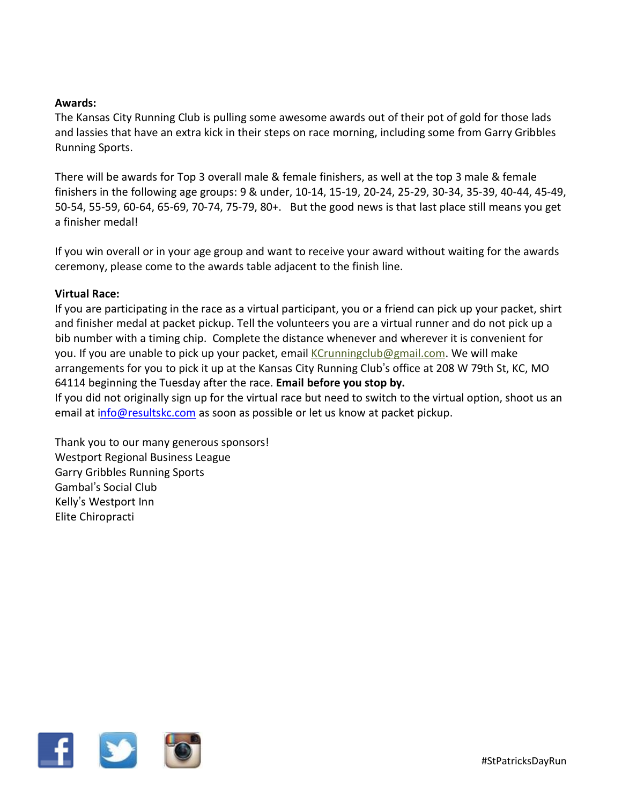### **Awards:**

The Kansas City Running Club is pulling some awesome awards out of their pot of gold for those lads and lassies that have an extra kick in their steps on race morning, including some from Garry Gribbles Running Sports.

There will be awards for Top 3 overall male & female finishers, as well at the top 3 male & female finishers in the following age groups: 9 & under, 10-14, 15-19, 20-24, 25-29, 30-34, 35-39, 40-44, 45-49, 50-54, 55-59, 60-64, 65-69, 70-74, 75-79, 80+. But the good news is that last place still means you get a finisher medal!

If you win overall or in your age group and want to receive your award without waiting for the awards ceremony, please come to the awards table adjacent to the finish line.

#### **Virtual Race:**

If you are participating in the race as a virtual participant, you or a friend can pick up your packet, shirt and finisher medal at packet pickup. Tell the volunteers you are a virtual runner and do not pick up a bib number with a timing chip. Complete the distance whenever and wherever it is convenient for you. If you are unable to pick up your packet, email [KCrunningclub@gmail.com.](mailto:KCrunningclub@gmail.com) We will make arrangements for you to pick it up at the Kansas City Running Club's office at 208 W 79th St, KC, MO 64114 beginning the Tuesday after the race. **Email before you stop by.** 

If you did not originally sign up for the virtual race but need to switch to the virtual option, shoot us an email at info@resultskc.com as soon as possible or let us know at packet pickup.

Thank you to our many generous sponsors! Westport Regional Business League Garry Gribbles Running Sports Gambal's Social Club Kelly's Westport Inn Elite Chiropracti